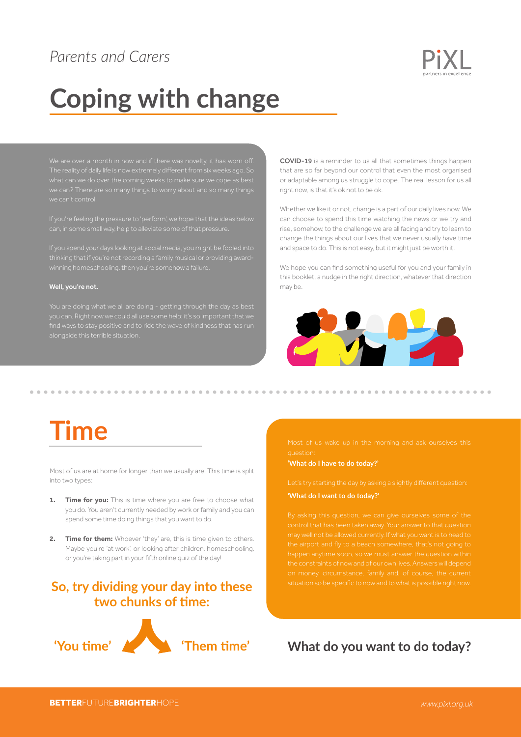### *Parents and Carers*



# **Coping with change**

The reality of daily life is now extremely different from six weeks ago. So we can't control.

If you're feeling the pressure to 'perform', we hope that the ideas below can, in some small way, help to alleviate some of that pressure.

If you spend your days looking at social media, you might be fooled into

#### Well, you're not.

COVID-19 is a reminder to us all that sometimes things happen that are so far beyond our control that even the most organised or adaptable among us struggle to cope. The real lesson for us all right now, is that it's ok not to be ok.

Whether we like it or not, change is a part of our daily lives now. We can choose to spend this time watching the news or we try and rise, somehow, to the challenge we are all facing and try to learn to change the things about our lives that we never usually have time and space to do. This is not easy, but it might just be worth it.

We hope you can find something useful for you and your family in this booklet, a nudge in the right direction, whatever that direction may be.



## **Time**

Most of us are at home for longer than we usually are. This time is split into two types:

- **1. Time for you:** This is time where you are free to choose what you do. You aren't currently needed by work or family and you can spend some time doing things that you want to do.
- **2. Time for them:** Whoever 'they' are, this is time given to others. Maybe you're 'at work', or looking after children, homeschooling, or you're taking part in your fifth online quiz of the day!

### **So, try dividing your day into these two chunks of time:**



**'What do I have to do today?'** 

#### **'What do I want to do today?'**

situation so be specific to now and to what is possible right now.

**What do you want to do today?**